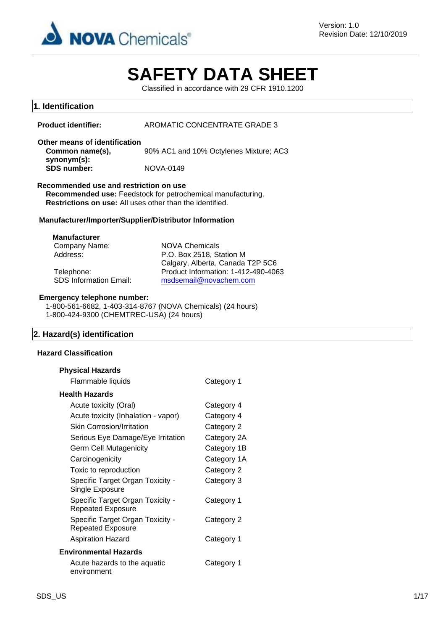

# **SAFETY DATA SHEET**

Classified in accordance with 29 CFR 1910.1200

## **1. Identification**

| Product identifier: | AROMATIC CONCENTRATE GRADE 3 |
|---------------------|------------------------------|
|                     |                              |

**Other means of identification Common name(s), synonym(s):** 90% AC1 and 10% Octylenes Mixture; AC3 **SDS number:** NOVA-0149

#### **Recommended use and restriction on use**

**Recommended use:** Feedstock for petrochemical manufacturing. **Restrictions on use:** All uses other than the identified.

## **Manufacturer/Importer/Supplier/Distributor Information**

#### **Manufacturer**

Company Name: NOVA Chemicals

Address: P.O. Box 2518, Station M Calgary, Alberta, Canada T2P 5C6 Telephone: Product Information: 1-412-490-4063<br>SDS Information Email: msdsemail@novachem.com [msdsemail@novachem.com](mailto:msdsemail@novachem.com)

## **Emergency telephone number:**

1-800-561-6682, 1-403-314-8767 (NOVA Chemicals) (24 hours) 1-800-424-9300 (CHEMTREC-USA) (24 hours)

## **2. Hazard(s) identification**

## **Hazard Classification**

| <b>Physical Hazards</b>                                      |             |
|--------------------------------------------------------------|-------------|
| Flammable liquids                                            | Category 1  |
| <b>Health Hazards</b>                                        |             |
| Acute toxicity (Oral)                                        | Category 4  |
| Acute toxicity (Inhalation - vapor)                          | Category 4  |
| <b>Skin Corrosion/Irritation</b>                             | Category 2  |
| Serious Eye Damage/Eye Irritation                            | Category 2A |
| <b>Germ Cell Mutagenicity</b>                                | Category 1B |
| Carcinogenicity                                              | Category 1A |
| Toxic to reproduction                                        | Category 2  |
| Specific Target Organ Toxicity -<br>Single Exposure          | Category 3  |
| Specific Target Organ Toxicity -<br><b>Repeated Exposure</b> | Category 1  |
| Specific Target Organ Toxicity -<br><b>Repeated Exposure</b> | Category 2  |
| <b>Aspiration Hazard</b>                                     | Category 1  |
| <b>Environmental Hazards</b>                                 |             |
| Acute hazards to the aquatic<br>environment                  | Category 1  |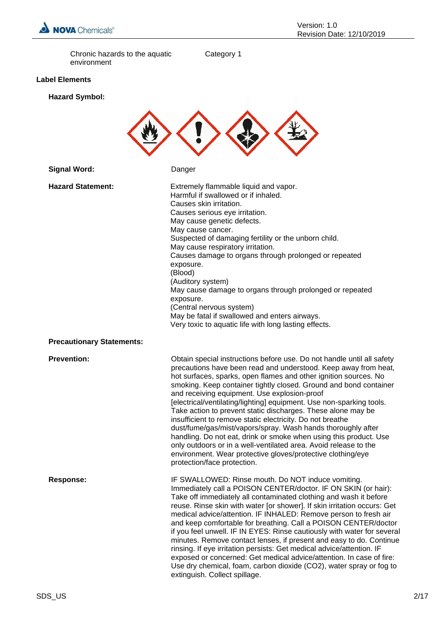

Chronic hazards to the aquatic environment

Category 1

## **Label Elements**

## **Hazard Symbol:**



| <b>Hazard Statement:</b>         | Extremely flammable liquid and vapor.<br>Harmful if swallowed or if inhaled.<br>Causes skin irritation.<br>Causes serious eye irritation.<br>May cause genetic defects.<br>May cause cancer.<br>Suspected of damaging fertility or the unborn child.<br>May cause respiratory irritation.<br>Causes damage to organs through prolonged or repeated<br>exposure.<br>(Blood)<br>(Auditory system)<br>May cause damage to organs through prolonged or repeated<br>exposure.<br>(Central nervous system)<br>May be fatal if swallowed and enters airways.<br>Very toxic to aquatic life with long lasting effects.                                                                                                                                                                                                                                 |
|----------------------------------|------------------------------------------------------------------------------------------------------------------------------------------------------------------------------------------------------------------------------------------------------------------------------------------------------------------------------------------------------------------------------------------------------------------------------------------------------------------------------------------------------------------------------------------------------------------------------------------------------------------------------------------------------------------------------------------------------------------------------------------------------------------------------------------------------------------------------------------------|
| <b>Precautionary Statements:</b> |                                                                                                                                                                                                                                                                                                                                                                                                                                                                                                                                                                                                                                                                                                                                                                                                                                                |
| <b>Prevention:</b>               | Obtain special instructions before use. Do not handle until all safety<br>precautions have been read and understood. Keep away from heat,<br>hot surfaces, sparks, open flames and other ignition sources. No<br>smoking. Keep container tightly closed. Ground and bond container<br>and receiving equipment. Use explosion-proof<br>[electrical/ventilating/lighting] equipment. Use non-sparking tools.<br>Take action to prevent static discharges. These alone may be<br>insufficient to remove static electricity. Do not breathe<br>dust/fume/gas/mist/vapors/spray. Wash hands thoroughly after<br>handling. Do not eat, drink or smoke when using this product. Use<br>only outdoors or in a well-ventilated area. Avoid release to the<br>environment. Wear protective gloves/protective clothing/eye<br>protection/face protection. |
| <b>Response:</b>                 | IF SWALLOWED: Rinse mouth. Do NOT induce vomiting.<br>Immediately call a POISON CENTER/doctor. IF ON SKIN (or hair):<br>Take off immediately all contaminated clothing and wash it before<br>reuse. Rinse skin with water [or shower]. If skin irritation occurs: Get<br>medical advice/attention. IF INHALED: Remove person to fresh air<br>and keep comfortable for breathing. Call a POISON CENTER/doctor<br>if you feel unwell. IF IN EYES: Rinse cautiously with water for several<br>minutes. Remove contact lenses, if present and easy to do. Continue<br>rinsing. If eye irritation persists: Get medical advice/attention. IF<br>exposed or concerned: Get medical advice/attention. In case of fire:<br>Use dry chemical, foam, carbon dioxide (CO2), water spray or fog to<br>extinguish. Collect spillage.                        |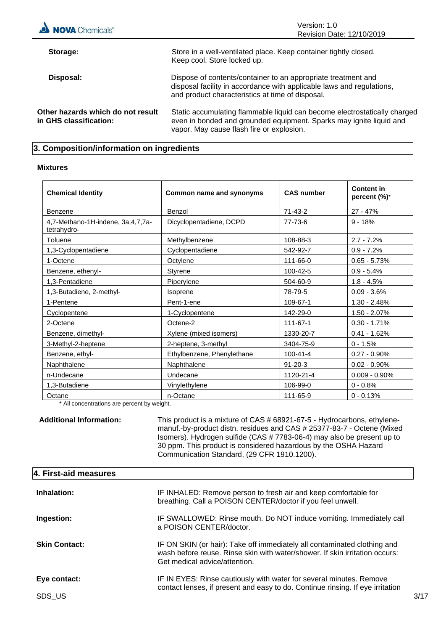

## **3. Composition/information on ingredients**

#### **Mixtures**

| <b>Chemical Identity</b>                         | Common name and synonyms   | <b>CAS number</b> | <b>Content in</b><br>percent (%)* |
|--------------------------------------------------|----------------------------|-------------------|-----------------------------------|
| Benzene                                          | Benzol                     | $71 - 43 - 2$     | $27 - 47%$                        |
| 4,7-Methano-1H-indene, 3a,4,7,7a-<br>tetrahydro- | Dicyclopentadiene, DCPD    | 77-73-6           | $9 - 18%$                         |
| Toluene                                          | Methylbenzene              | 108-88-3          | $2.7 - 7.2%$                      |
| 1,3-Cyclopentadiene                              | Cyclopentadiene            | 542-92-7          | $0.9 - 7.2%$                      |
| 1-Octene                                         | Octylene                   | 111-66-0          | $0.65 - 5.73%$                    |
| Benzene, ethenyl-                                | Styrene                    | 100-42-5          | $0.9 - 5.4%$                      |
| 1,3-Pentadiene                                   | Piperylene                 | 504-60-9          | $1.8 - 4.5%$                      |
| 1,3-Butadiene, 2-methyl-                         | <b>Isoprene</b>            | 78-79-5           | $0.09 - 3.6%$                     |
| 1-Pentene                                        | Pent-1-ene                 | 109-67-1          | $1.30 - 2.48%$                    |
| Cyclopentene                                     | 1-Cyclopentene             | 142-29-0          | $1.50 - 2.07%$                    |
| 2-Octene                                         | Octene-2                   | 111-67-1          | $0.30 - 1.71%$                    |
| Benzene, dimethyl-                               | Xylene (mixed isomers)     | 1330-20-7         | $0.41 - 1.62%$                    |
| 3-Methyl-2-heptene                               | 2-heptene, 3-methyl        | 3404-75-9         | $0 - 1.5%$                        |
| Benzene, ethyl-                                  | Ethylbenzene, Phenylethane | $100 - 41 - 4$    | $0.27 - 0.90\%$                   |
| Naphthalene                                      | Naphthalene                | $91 - 20 - 3$     | $0.02 - 0.90\%$                   |
| n-Undecane                                       | Undecane                   | 1120-21-4         | $0.009 - 0.90\%$                  |
| 1,3-Butadiene                                    | Vinylethylene              | 106-99-0          | $0 - 0.8%$                        |
| Octane                                           | n-Octane                   | 111-65-9          | $0 - 0.13%$                       |

\* All concentrations are percent by weight.

**Additional Information:** This product is a mixture of CAS # 68921-67-5 - Hydrocarbons, ethylenemanuf.-by-product distn. residues and CAS # 25377-83-7 - Octene (Mixed Isomers). Hydrogen sulfide (CAS # 7783-06-4) may also be present up to 30 ppm. This product is considered hazardous by the OSHA Hazard Communication Standard, (29 CFR 1910.1200).

| 4. First-aid measures  |                                                                                                                                                                                          |      |
|------------------------|------------------------------------------------------------------------------------------------------------------------------------------------------------------------------------------|------|
| Inhalation:            | IF INHALED: Remove person to fresh air and keep comfortable for<br>breathing. Call a POISON CENTER/doctor if you feel unwell.                                                            |      |
| Ingestion:             | IF SWALLOWED: Rinse mouth. Do NOT induce vomiting. Immediately call<br>a POISON CENTER/doctor.                                                                                           |      |
| <b>Skin Contact:</b>   | IF ON SKIN (or hair): Take off immediately all contaminated clothing and<br>wash before reuse. Rinse skin with water/shower. If skin irritation occurs:<br>Get medical advice/attention. |      |
| Eye contact:<br>SDS US | IF IN EYES: Rinse cautiously with water for several minutes. Remove<br>contact lenses, if present and easy to do. Continue rinsing. If eye irritation                                    | 3/17 |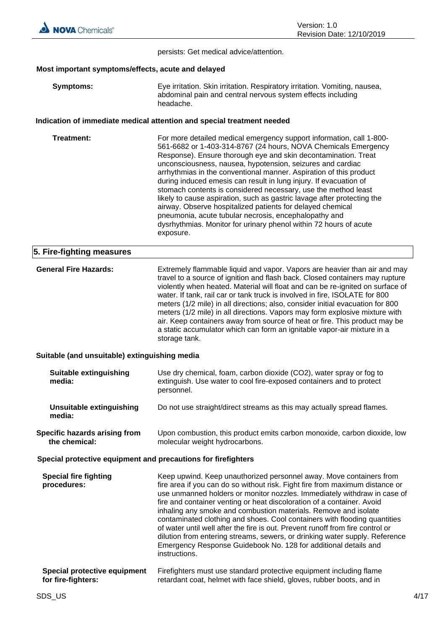persists: Get medical advice/attention.

## **Most important symptoms/effects, acute and delayed**

| Symptoms: | Eye irritation. Skin irritation. Respiratory irritation. Vomiting, nausea, |
|-----------|----------------------------------------------------------------------------|
|           | abdominal pain and central nervous system effects including                |
|           | headache.                                                                  |

## **Indication of immediate medical attention and special treatment needed**

| Treatment: | For more detailed medical emergency support information, call 1-800-<br>561-6682 or 1-403-314-8767 (24 hours, NOVA Chemicals Emergency<br>Response). Ensure thorough eye and skin decontamination. Treat<br>unconsciousness, nausea, hypotension, seizures and cardiac<br>arrhythmias in the conventional manner. Aspiration of this product<br>during induced emesis can result in lung injury. If evacuation of<br>stomach contents is considered necessary, use the method least<br>likely to cause aspiration, such as gastric lavage after protecting the<br>airway. Observe hospitalized patients for delayed chemical<br>pneumonia, acute tubular necrosis, encephalopathy and<br>dysrhythmias. Monitor for urinary phenol within 72 hours of acute<br>exposure. |
|------------|-------------------------------------------------------------------------------------------------------------------------------------------------------------------------------------------------------------------------------------------------------------------------------------------------------------------------------------------------------------------------------------------------------------------------------------------------------------------------------------------------------------------------------------------------------------------------------------------------------------------------------------------------------------------------------------------------------------------------------------------------------------------------|
|            |                                                                                                                                                                                                                                                                                                                                                                                                                                                                                                                                                                                                                                                                                                                                                                         |

## **5. Fire-fighting measures**

| <b>General Fire Hazards:</b> | Extremely flammable liquid and vapor. Vapors are heavier than air and may<br>travel to a source of ignition and flash back. Closed containers may rupture<br>violently when heated. Material will float and can be re-ignited on surface of<br>water. If tank, rail car or tank truck is involved in fire, ISOLATE for 800<br>meters (1/2 mile) in all directions; also, consider initial evacuation for 800<br>meters (1/2 mile) in all directions. Vapors may form explosive mixture with<br>air. Keep containers away from source of heat or fire. This product may be<br>a static accumulator which can form an ignitable vapor-air mixture in a |
|------------------------------|------------------------------------------------------------------------------------------------------------------------------------------------------------------------------------------------------------------------------------------------------------------------------------------------------------------------------------------------------------------------------------------------------------------------------------------------------------------------------------------------------------------------------------------------------------------------------------------------------------------------------------------------------|
|                              | storage tank.                                                                                                                                                                                                                                                                                                                                                                                                                                                                                                                                                                                                                                        |

## **Suitable (and unsuitable) extinguishing media**

| <b>Suitable extinguishing</b><br>media:               | Use dry chemical, foam, carbon dioxide (CO2), water spray or fog to<br>extinguish. Use water to cool fire-exposed containers and to protect<br>personnel. |
|-------------------------------------------------------|-----------------------------------------------------------------------------------------------------------------------------------------------------------|
| Unsuitable extinguishing<br>media:                    | Do not use straight/direct streams as this may actually spread flames.                                                                                    |
| <b>Specific hazards arising from</b><br>the chemical: | Upon combustion, this product emits carbon monoxide, carbon dioxide, low<br>molecular weight hydrocarbons.                                                |
|                                                       | Special protective equipment and precautions for firefighters                                                                                             |
| <b>Special fire fighting</b><br>.                     | Keep upwind. Keep unauthorized personnel away. Move containers from<br>fine executive can also a mittered state. Fight fine from monitoring distance or   |

| Special fire fighting | Keep upwind. Keep unauthorized personnel away. Move containers from            |
|-----------------------|--------------------------------------------------------------------------------|
| procedures:           | fire area if you can do so without risk. Fight fire from maximum distance or   |
|                       | use unmanned holders or monitor nozzles. Immediately withdraw in case of       |
|                       | fire and container venting or heat discoloration of a container. Avoid         |
|                       | inhaling any smoke and combustion materials. Remove and isolate                |
|                       | contaminated clothing and shoes. Cool containers with flooding quantities      |
|                       | of water until well after the fire is out. Prevent runoff from fire control or |
|                       | dilution from entering streams, sewers, or drinking water supply. Reference    |
|                       | Emergency Response Guidebook No. 128 for additional details and                |
|                       | instructions.                                                                  |
|                       |                                                                                |

#### **Special protective equipment for fire-fighters:** Firefighters must use standard protective equipment including flame retardant coat, helmet with face shield, gloves, rubber boots, and in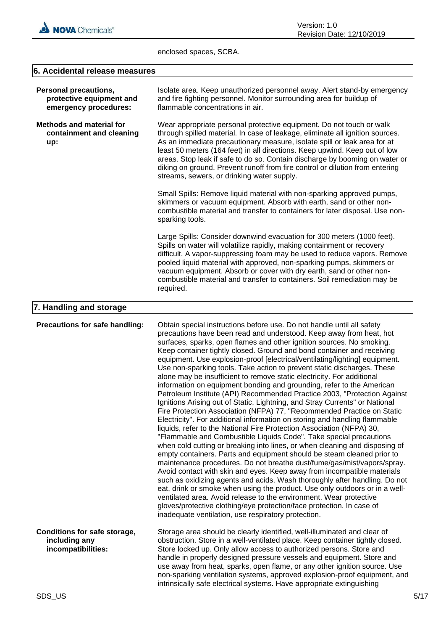

enclosed spaces, SCBA.

## **6. Accidental release measures**

| <b>Personal precautions,</b><br>protective equipment and<br>emergency procedures: | Isolate area. Keep unauthorized personnel away. Alert stand-by emergency<br>and fire fighting personnel. Monitor surrounding area for buildup of<br>flammable concentrations in air.                                                                                                                                                                                                                                                                                                                                                                                                                                                                                                                                                                                                                                                                                                                                                                                                                                                                                                                                                                                                                                                                                                                                                                                                                                                                                                                                                                                                                                                                                                                                                                              |  |  |
|-----------------------------------------------------------------------------------|-------------------------------------------------------------------------------------------------------------------------------------------------------------------------------------------------------------------------------------------------------------------------------------------------------------------------------------------------------------------------------------------------------------------------------------------------------------------------------------------------------------------------------------------------------------------------------------------------------------------------------------------------------------------------------------------------------------------------------------------------------------------------------------------------------------------------------------------------------------------------------------------------------------------------------------------------------------------------------------------------------------------------------------------------------------------------------------------------------------------------------------------------------------------------------------------------------------------------------------------------------------------------------------------------------------------------------------------------------------------------------------------------------------------------------------------------------------------------------------------------------------------------------------------------------------------------------------------------------------------------------------------------------------------------------------------------------------------------------------------------------------------|--|--|
| Methods and material for<br>containment and cleaning<br>up:                       | Wear appropriate personal protective equipment. Do not touch or walk<br>through spilled material. In case of leakage, eliminate all ignition sources.<br>As an immediate precautionary measure, isolate spill or leak area for at<br>least 50 meters (164 feet) in all directions. Keep upwind. Keep out of low<br>areas. Stop leak if safe to do so. Contain discharge by booming on water or<br>diking on ground. Prevent runoff from fire control or dilution from entering<br>streams, sewers, or drinking water supply.                                                                                                                                                                                                                                                                                                                                                                                                                                                                                                                                                                                                                                                                                                                                                                                                                                                                                                                                                                                                                                                                                                                                                                                                                                      |  |  |
|                                                                                   | Small Spills: Remove liquid material with non-sparking approved pumps,<br>skimmers or vacuum equipment. Absorb with earth, sand or other non-<br>combustible material and transfer to containers for later disposal. Use non-<br>sparking tools.                                                                                                                                                                                                                                                                                                                                                                                                                                                                                                                                                                                                                                                                                                                                                                                                                                                                                                                                                                                                                                                                                                                                                                                                                                                                                                                                                                                                                                                                                                                  |  |  |
|                                                                                   | Large Spills: Consider downwind evacuation for 300 meters (1000 feet).<br>Spills on water will volatilize rapidly, making containment or recovery<br>difficult. A vapor-suppressing foam may be used to reduce vapors. Remove<br>pooled liquid material with approved, non-sparking pumps, skimmers or<br>vacuum equipment. Absorb or cover with dry earth, sand or other non-<br>combustible material and transfer to containers. Soil remediation may be<br>required.                                                                                                                                                                                                                                                                                                                                                                                                                                                                                                                                                                                                                                                                                                                                                                                                                                                                                                                                                                                                                                                                                                                                                                                                                                                                                           |  |  |
| 7. Handling and storage                                                           |                                                                                                                                                                                                                                                                                                                                                                                                                                                                                                                                                                                                                                                                                                                                                                                                                                                                                                                                                                                                                                                                                                                                                                                                                                                                                                                                                                                                                                                                                                                                                                                                                                                                                                                                                                   |  |  |
| Precautions for safe handling:                                                    | Obtain special instructions before use. Do not handle until all safety<br>precautions have been read and understood. Keep away from heat, hot<br>surfaces, sparks, open flames and other ignition sources. No smoking.<br>Keep container tightly closed. Ground and bond container and receiving<br>equipment. Use explosion-proof [electrical/ventilating/lighting] equipment.<br>Use non-sparking tools. Take action to prevent static discharges. These<br>alone may be insufficient to remove static electricity. For additional<br>information on equipment bonding and grounding, refer to the American<br>Petroleum Institute (API) Recommended Practice 2003, "Protection Against<br>Ignitions Arising out of Static, Lightning, and Stray Currents" or National<br>Fire Protection Association (NFPA) 77, "Recommended Practice on Static<br>Electricity". For additional information on storing and handling flammable<br>liquids, refer to the National Fire Protection Association (NFPA) 30,<br>"Flammable and Combustible Liquids Code". Take special precautions<br>when cold cutting or breaking into lines, or when cleaning and disposing of<br>empty containers. Parts and equipment should be steam cleaned prior to<br>maintenance procedures. Do not breathe dust/fume/gas/mist/vapors/spray.<br>Avoid contact with skin and eyes. Keep away from incompatible materials<br>such as oxidizing agents and acids. Wash thoroughly after handling. Do not<br>eat, drink or smoke when using the product. Use only outdoors or in a well-<br>ventilated area. Avoid release to the environment. Wear protective<br>gloves/protective clothing/eye protection/face protection. In case of<br>inadequate ventilation, use respiratory protection. |  |  |
| Conditions for safe storage,<br>including any<br>incompatibilities:               | Storage area should be clearly identified, well-illuminated and clear of<br>obstruction. Store in a well-ventilated place. Keep container tightly closed.<br>Store locked up. Only allow access to authorized persons. Store and<br>handle in properly designed pressure vessels and equipment. Store and<br>use away from heat, sparks, open flame, or any other ignition source. Use<br>non-sparking ventilation systems, approved explosion-proof equipment, and<br>intrinsically safe electrical systems. Have appropriate extinguishing                                                                                                                                                                                                                                                                                                                                                                                                                                                                                                                                                                                                                                                                                                                                                                                                                                                                                                                                                                                                                                                                                                                                                                                                                      |  |  |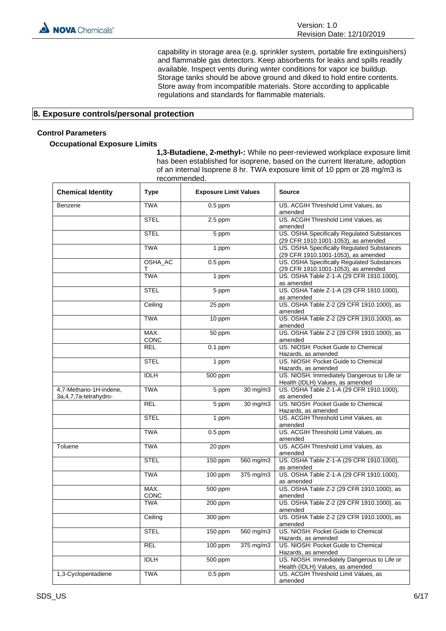

capability in storage area (e.g. sprinkler system, portable fire extinguishers) and flammable gas detectors. Keep absorbents for leaks and spills readily available. Inspect vents during winter conditions for vapor ice buildup. Storage tanks should be above ground and diked to hold entire contents. Store away from incompatible materials. Store according to applicable regulations and standards for flammable materials.

**1,3-Butadiene, 2-methyl-:** While no peer-reviewed workplace exposure limit has been established for isoprene, based on the current literature, adoption of an internal Isoprene 8 hr. TWA exposure limit of 10 ppm or 28 mg/m3 is

## **8. Exposure controls/personal protection**

## **Control Parameters**

## **Occupational Exposure Limits**

|                                                    | recommended. |                              |           |                                                                                   |
|----------------------------------------------------|--------------|------------------------------|-----------|-----------------------------------------------------------------------------------|
| <b>Chemical Identity</b>                           | <b>Type</b>  | <b>Exposure Limit Values</b> |           | <b>Source</b>                                                                     |
| Benzene                                            | <b>TWA</b>   | $0.5$ ppm                    |           | US. ACGIH Threshold Limit Values, as<br>amended                                   |
|                                                    | <b>STEL</b>  | $2.5$ ppm                    |           | US. ACGIH Threshold Limit Values, as<br>amended                                   |
|                                                    | <b>STEL</b>  | 5 ppm                        |           | US. OSHA Specifically Regulated Substances<br>(29 CFR 1910.1001-1053), as amended |
|                                                    | <b>TWA</b>   | 1 ppm                        |           | US. OSHA Specifically Regulated Substances<br>(29 CFR 1910.1001-1053), as amended |
|                                                    | OSHA_AC<br>т | $0.5$ ppm                    |           | US. OSHA Specifically Regulated Substances<br>(29 CFR 1910.1001-1053), as amended |
|                                                    | <b>TWA</b>   | 1 ppm                        |           | US. OSHA Table Z-1-A (29 CFR 1910.1000),<br>as amended                            |
|                                                    | <b>STEL</b>  | 5 ppm                        |           | US. OSHA Table Z-1-A (29 CFR 1910.1000),<br>as amended                            |
|                                                    | Ceiling      | 25 ppm                       |           | US. OSHA Table Z-2 (29 CFR 1910.1000), as<br>amended                              |
|                                                    | <b>TWA</b>   | 10 ppm                       |           | US. OSHA Table Z-2 (29 CFR 1910.1000), as<br>amended                              |
|                                                    | MAX.<br>CONC | 50 ppm                       |           | US. OSHA Table Z-2 (29 CFR 1910.1000), as<br>amended                              |
|                                                    | <b>REL</b>   | $0.1$ ppm                    |           | US. NIOSH: Pocket Guide to Chemical<br>Hazards, as amended                        |
|                                                    | <b>STEL</b>  | 1 ppm                        |           | US. NIOSH: Pocket Guide to Chemical<br>Hazards, as amended                        |
|                                                    | <b>IDLH</b>  | 500 ppm                      |           | US. NIOSH. Immediately Dangerous to Life or<br>Health (IDLH) Values, as amended   |
| 4,7-Methano-1H-indene,<br>3a, 4, 7, 7a-tetrahydro- | <b>TWA</b>   | 5 ppm                        | 30 mg/m3  | US. OSHA Table Z-1-A (29 CFR 1910.1000),<br>as amended                            |
|                                                    | <b>REL</b>   | 5 ppm                        | 30 mg/m3  | US. NIOSH: Pocket Guide to Chemical<br>Hazards, as amended                        |
|                                                    | <b>STEL</b>  | 1 ppm                        |           | US. ACGIH Threshold Limit Values, as<br>amended                                   |
|                                                    | <b>TWA</b>   | $0.5$ ppm                    |           | US. ACGIH Threshold Limit Values, as<br>amended                                   |
| Toluene                                            | <b>TWA</b>   | 20 ppm                       |           | US. ACGIH Threshold Limit Values, as<br>amended                                   |
|                                                    | <b>STEL</b>  | 150 ppm                      | 560 mg/m3 | US. OSHA Table Z-1-A (29 CFR 1910.1000),<br>as amended                            |
|                                                    | <b>TWA</b>   | $100$ ppm                    | 375 mg/m3 | US. OSHA Table Z-1-A (29 CFR 1910.1000),<br>as amended                            |
|                                                    | MAX.<br>CONC | 500 ppm                      |           | US. OSHA Table Z-2 (29 CFR 1910.1000), as<br>amended                              |
|                                                    | <b>TWA</b>   | 200 ppm                      |           | US. OSHA Table Z-2 (29 CFR 1910.1000), as<br>amended                              |
|                                                    | Ceiling      | 300 ppm                      |           | US. OSHA Table Z-2 (29 CFR 1910.1000), as<br>amended                              |
|                                                    | <b>STEL</b>  | 150 ppm                      | 560 mg/m3 | US. NIOSH: Pocket Guide to Chemical<br>Hazards, as amended                        |
|                                                    | <b>REL</b>   | 100 ppm                      | 375 mg/m3 | US. NIOSH: Pocket Guide to Chemical<br>Hazards, as amended                        |
|                                                    | <b>IDLH</b>  | 500 ppm                      |           | US. NIOSH. Immediately Dangerous to Life or<br>Health (IDLH) Values, as amended   |
| 1,3-Cyclopentadiene                                | <b>TWA</b>   | $0.5$ ppm                    |           | US. ACGIH Threshold Limit Values, as<br>amended                                   |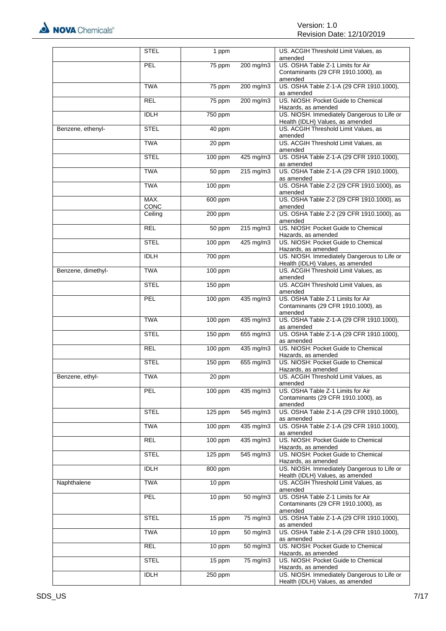|                    | <b>STEL</b>  | 1 ppm     |                       | US. ACGIH Threshold Limit Values, as<br>amended                                     |
|--------------------|--------------|-----------|-----------------------|-------------------------------------------------------------------------------------|
|                    | PEL          | 75 ppm    | 200 mg/m3             | US. OSHA Table Z-1 Limits for Air<br>Contaminants (29 CFR 1910.1000), as<br>amended |
|                    | <b>TWA</b>   | 75 ppm    | $200$ mg/m3           | US. OSHA Table Z-1-A (29 CFR 1910.1000),<br>as amended                              |
|                    | <b>REL</b>   | 75 ppm    | 200 mg/m3             | US. NIOSH: Pocket Guide to Chemical<br>Hazards, as amended                          |
|                    | <b>IDLH</b>  | 750 ppm   |                       | US. NIOSH. Immediately Dangerous to Life or<br>Health (IDLH) Values, as amended     |
| Benzene, ethenyl-  | <b>STEL</b>  | 40 ppm    |                       | US. ACGIH Threshold Limit Values, as<br>amended                                     |
|                    | <b>TWA</b>   | 20 ppm    |                       | US. ACGIH Threshold Limit Values, as<br>amended                                     |
|                    | <b>STEL</b>  | 100 ppm   | $425$ mg/m3           | US. OSHA Table Z-1-A (29 CFR 1910.1000),<br>as amended                              |
|                    | <b>TWA</b>   | 50 ppm    | $215 \text{ mg/m}$    | US. OSHA Table Z-1-A (29 CFR 1910.1000),<br>as amended                              |
|                    | <b>TWA</b>   | 100 ppm   |                       | US. OSHA Table Z-2 (29 CFR 1910.1000), as<br>amended                                |
|                    | MAX.<br>CONC | $600$ ppm |                       | US. OSHA Table Z-2 (29 CFR 1910.1000), as<br>amended                                |
|                    | Ceiling      | 200 ppm   |                       | US. OSHA Table Z-2 (29 CFR 1910.1000), as<br>amended                                |
|                    | <b>REL</b>   | 50 ppm    | 215 mg/m3             | US. NIOSH: Pocket Guide to Chemical<br>Hazards, as amended                          |
|                    | <b>STEL</b>  | 100 ppm   | $425 \text{ mg/m}$    | US. NIOSH: Pocket Guide to Chemical<br>Hazards, as amended                          |
|                    | <b>IDLH</b>  | 700 ppm   |                       | US. NIOSH. Immediately Dangerous to Life or<br>Health (IDLH) Values, as amended     |
| Benzene, dimethyl- | <b>TWA</b>   | 100 ppm   |                       | US. ACGIH Threshold Limit Values, as<br>amended                                     |
|                    | <b>STEL</b>  | 150 ppm   |                       | US. ACGIH Threshold Limit Values, as<br>amended                                     |
|                    | PEL          | 100 ppm   | 435 mg/m3             | US. OSHA Table Z-1 Limits for Air<br>Contaminants (29 CFR 1910.1000), as<br>amended |
|                    | <b>TWA</b>   | 100 ppm   | $435 \text{ mg/m}$ 3  | US. OSHA Table Z-1-A (29 CFR 1910.1000),<br>as amended                              |
|                    | <b>STEL</b>  | 150 ppm   | 655 mg/m3             | US. OSHA Table Z-1-A (29 CFR 1910.1000),<br>as amended                              |
|                    | <b>REL</b>   | 100 ppm   | 435 mg/m3             | US. NIOSH: Pocket Guide to Chemical<br>Hazards, as amended                          |
|                    | <b>STEL</b>  | 150 ppm   | 655 mg/m3             | US. NIOSH: Pocket Guide to Chemical<br>Hazards, as amended                          |
| Benzene, ethyl-    | <b>TWA</b>   | 20 ppm    |                       | US. ACGIH Threshold Limit Values, as<br>amended                                     |
|                    | PEL          | 100 ppm   | 435 mg/m3             | US. OSHA Table Z-1 Limits for Air<br>Contaminants (29 CFR 1910.1000), as<br>amended |
|                    | <b>STEL</b>  | 125 ppm   | 545 mg/m3             | US. OSHA Table Z-1-A (29 CFR 1910.1000),<br>as amended                              |
|                    | <b>TWA</b>   | 100 ppm   | $435$ mg/m3           | US. OSHA Table Z-1-A (29 CFR 1910.1000),<br>as amended                              |
|                    | <b>REL</b>   | 100 ppm   | $435 \text{ mg/m}$    | US. NIOSH: Pocket Guide to Chemical<br>Hazards, as amended                          |
|                    | <b>STEL</b>  | 125 ppm   | 545 mg/m3             | US. NIOSH: Pocket Guide to Chemical<br>Hazards, as amended                          |
|                    | <b>IDLH</b>  | 800 ppm   |                       | US. NIOSH. Immediately Dangerous to Life or<br>Health (IDLH) Values, as amended     |
| Naphthalene        | <b>TWA</b>   | 10 ppm    |                       | US. ACGIH Threshold Limit Values, as<br>amended                                     |
|                    | PEL          | 10 ppm    | $\overline{50}$ mg/m3 | US. OSHA Table Z-1 Limits for Air<br>Contaminants (29 CFR 1910.1000), as<br>amended |
|                    | <b>STEL</b>  | 15 ppm    | 75 mg/m3              | US. OSHA Table Z-1-A (29 CFR 1910.1000),<br>as amended                              |
|                    | <b>TWA</b>   | 10 ppm    | $\frac{1}{50}$ mg/m3  | US. OSHA Table Z-1-A (29 CFR 1910.1000),<br>as amended                              |
|                    | <b>REL</b>   | 10 ppm    | 50 mg/m3              | US. NIOSH: Pocket Guide to Chemical<br>Hazards, as amended                          |
|                    | <b>STEL</b>  | 15 ppm    | 75 mg/m3              | US. NIOSH: Pocket Guide to Chemical<br>Hazards, as amended                          |
|                    | <b>IDLH</b>  | 250 ppm   |                       | US. NIOSH. Immediately Dangerous to Life or<br>Health (IDLH) Values, as amended     |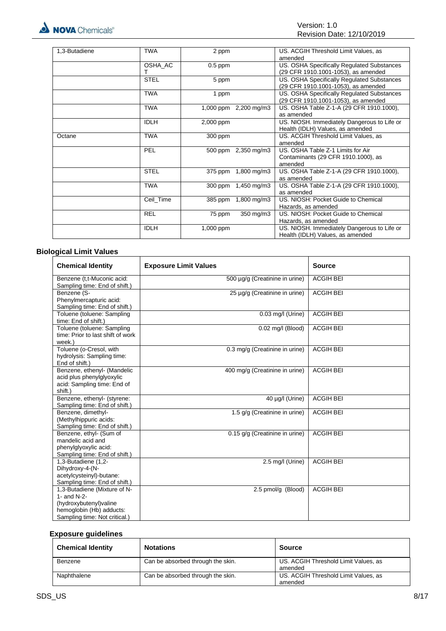| 1,3-Butadiene | <b>TWA</b>  | 2 ppm     |                       | US. ACGIH Threshold Limit Values, as        |
|---------------|-------------|-----------|-----------------------|---------------------------------------------|
|               |             |           |                       | amended                                     |
|               | OSHA AC     | $0.5$ ppm |                       | US. OSHA Specifically Regulated Substances  |
|               |             |           |                       | (29 CFR 1910.1001-1053), as amended         |
|               | <b>STEL</b> | 5 ppm     |                       | US. OSHA Specifically Regulated Substances  |
|               |             |           |                       | (29 CFR 1910.1001-1053), as amended         |
|               | <b>TWA</b>  | 1 ppm     |                       | US. OSHA Specifically Regulated Substances  |
|               |             |           |                       | (29 CFR 1910.1001-1053), as amended         |
|               | <b>TWA</b>  |           | 1,000 ppm 2,200 mg/m3 | US. OSHA Table Z-1-A (29 CFR 1910.1000),    |
|               |             |           |                       | as amended                                  |
|               | <b>IDLH</b> | 2,000 ppm |                       | US. NIOSH. Immediately Dangerous to Life or |
|               |             |           |                       | Health (IDLH) Values, as amended            |
| Octane        | <b>TWA</b>  | 300 ppm   |                       | US. ACGIH Threshold Limit Values, as        |
|               |             |           |                       | amended                                     |
|               | PEL         |           | 500 ppm 2,350 mg/m3   | US. OSHA Table Z-1 Limits for Air           |
|               |             |           |                       | Contaminants (29 CFR 1910.1000), as         |
|               |             |           |                       | amended                                     |
|               | <b>STEL</b> | 375 ppm   | 1,800 mg/m3           | US. OSHA Table Z-1-A (29 CFR 1910.1000),    |
|               |             |           |                       | as amended                                  |
|               | <b>TWA</b>  |           | 300 ppm 1,450 mg/m3   | US. OSHA Table Z-1-A (29 CFR 1910.1000),    |
|               |             |           |                       | as amended                                  |
|               | Ceil Time   |           | 385 ppm 1,800 mg/m3   | US. NIOSH: Pocket Guide to Chemical         |
|               |             |           |                       | Hazards, as amended                         |
|               | <b>REL</b>  | 75 ppm    | 350 mg/m3             | US. NIOSH: Pocket Guide to Chemical         |
|               |             |           |                       | Hazards, as amended                         |
|               | <b>IDLH</b> | 1,000 ppm |                       | US. NIOSH. Immediately Dangerous to Life or |
|               |             |           |                       | Health (IDLH) Values, as amended            |

## **Biological Limit Values**

| <b>Chemical Identity</b>                                                                                                            | <b>Exposure Limit Values</b>   | <b>Source</b>    |
|-------------------------------------------------------------------------------------------------------------------------------------|--------------------------------|------------------|
| Benzene (t,t-Muconic acid:<br>Sampling time: End of shift.)                                                                         | 500 µq/q (Creatinine in urine) | <b>ACGIH BEI</b> |
| Benzene (S-<br>Phenylmercapturic acid:<br>Sampling time: End of shift.)                                                             | 25 µg/g (Creatinine in urine)  | <b>ACGIH BEI</b> |
| Toluene (toluene: Sampling<br>time: End of shift.)                                                                                  | $0.03$ mg/l (Urine)            | <b>ACGIH BEI</b> |
| Toluene (toluene: Sampling<br>time: Prior to last shift of work<br>week.)                                                           | 0.02 mg/l (Blood)              | <b>ACGIH BEI</b> |
| Toluene (o-Cresol, with<br>hydrolysis: Sampling time:<br>End of shift.)                                                             | 0.3 mg/g (Creatinine in urine) | <b>ACGIH BEI</b> |
| Benzene, ethenyl- (Mandelic<br>acid plus phenylglyoxylic<br>acid: Sampling time: End of<br>shift.)                                  | 400 mg/g (Creatinine in urine) | <b>ACGIH BEI</b> |
| Benzene, ethenyl- (styrene:<br>Sampling time: End of shift.)                                                                        | 40 µg/l (Urine)                | <b>ACGIH BEI</b> |
| Benzene, dimethyl-<br>(Methylhippuric acids:<br>Sampling time: End of shift.)                                                       | 1.5 g/g (Creatinine in urine)  | <b>ACGIH BEI</b> |
| Benzene, ethyl- (Sum of<br>mandelic acid and<br>phenylglyoxylic acid:<br>Sampling time: End of shift.)                              | 0.15 g/g (Creatinine in urine) | <b>ACGIH BEI</b> |
| 1,3-Butadiene (1,2-<br>Dihydroxy-4-(N-<br>acetylcysteinyl)-butane:<br>Sampling time: End of shift.)                                 | 2.5 mg/l (Urine)               | <b>ACGIH BEI</b> |
| 1,3-Butadiene (Mixture of N-<br>1- and N-2-<br>(hydroxybutenyl) valine<br>hemoglobin (Hb) adducts:<br>Sampling time: Not critical.) | 2.5 pmol/g (Blood)             | <b>ACGIH BEI</b> |

## **Exposure guidelines**

| <b>Chemical Identity</b> | <b>Notations</b>                  | <b>Source</b>                                   |
|--------------------------|-----------------------------------|-------------------------------------------------|
| Benzene                  | Can be absorbed through the skin. | US. ACGIH Threshold Limit Values, as<br>amended |
| Naphthalene              | Can be absorbed through the skin. | US. ACGIH Threshold Limit Values, as<br>amended |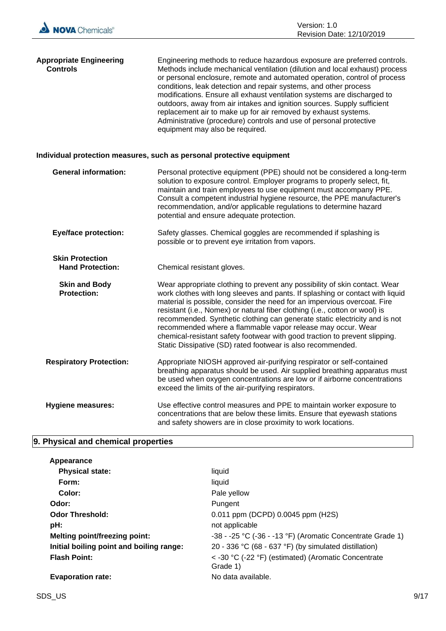| <b>Appropriate Engineering</b><br><b>Controls</b> | Engineering methods to reduce hazardous exposure are preferred controls.<br>Methods include mechanical ventilation (dilution and local exhaust) process<br>or personal enclosure, remote and automated operation, control of process<br>conditions, leak detection and repair systems, and other process<br>modifications. Ensure all exhaust ventilation systems are discharged to<br>outdoors, away from air intakes and ignition sources. Supply sufficient<br>replacement air to make up for air removed by exhaust systems.<br>Administrative (procedure) controls and use of personal protective<br>equipment may also be required. |
|---------------------------------------------------|-------------------------------------------------------------------------------------------------------------------------------------------------------------------------------------------------------------------------------------------------------------------------------------------------------------------------------------------------------------------------------------------------------------------------------------------------------------------------------------------------------------------------------------------------------------------------------------------------------------------------------------------|
|                                                   | Individual protection measures, such as personal protective equipment                                                                                                                                                                                                                                                                                                                                                                                                                                                                                                                                                                     |
| <b>General information:</b>                       | Personal protective equipment (PPE) should not be considered a long-term<br>solution to exposure control. Employer programs to properly select, fit,<br>maintain and train employees to use equipment must accompany PPE.<br>Consult a competent industrial hygiene resource, the PPE manufacturer's<br>recommendation, and/or applicable regulations to determine hazard<br>potential and ensure adequate protection.                                                                                                                                                                                                                    |
| <b>Eye/face protection:</b>                       | Safety glasses. Chemical goggles are recommended if splashing is<br>possible or to prevent eye irritation from vapors.                                                                                                                                                                                                                                                                                                                                                                                                                                                                                                                    |
| <b>Skin Protection</b><br><b>Hand Protection:</b> | Chemical resistant gloves.                                                                                                                                                                                                                                                                                                                                                                                                                                                                                                                                                                                                                |
| <b>Skin and Body</b><br><b>Protection:</b>        | Wear appropriate clothing to prevent any possibility of skin contact. Wear<br>work clothes with long sleeves and pants. If splashing or contact with liquid<br>material is possible, consider the need for an impervious overcoat. Fire<br>resistant (i.e., Nomex) or natural fiber clothing (i.e., cotton or wool) is<br>recommended. Synthetic clothing can generate static electricity and is not<br>recommended where a flammable vapor release may occur. Wear<br>chemical-resistant safety footwear with good traction to prevent slipping.<br>Static Dissipative (SD) rated footwear is also recommended.                          |
| <b>Respiratory Protection:</b>                    | Appropriate NIOSH approved air-purifying respirator or self-contained<br>breathing apparatus should be used. Air supplied breathing apparatus must<br>be used when oxygen concentrations are low or if airborne concentrations<br>exceed the limits of the air-purifying respirators.                                                                                                                                                                                                                                                                                                                                                     |
| <b>Hygiene measures:</b>                          | Use effective control measures and PPE to maintain worker exposure to<br>concentrations that are below these limits. Ensure that eyewash stations<br>and safety showers are in close proximity to work locations.                                                                                                                                                                                                                                                                                                                                                                                                                         |

## **9. Physical and chemical properties**

| Appearance                               |                                                               |
|------------------------------------------|---------------------------------------------------------------|
| <b>Physical state:</b>                   | liquid                                                        |
| Form:                                    | liauid                                                        |
| Color:                                   | Pale yellow                                                   |
| Odor:                                    | Pungent                                                       |
| <b>Odor Threshold:</b>                   | 0.011 ppm (DCPD) 0.0045 ppm (H2S)                             |
| pH:                                      | not applicable                                                |
| <b>Melting point/freezing point:</b>     | $-38 - 25$ °C ( $-36 - 13$ °F) (Aromatic Concentrate Grade 1) |
| Initial boiling point and boiling range: | 20 - 336 °C (68 - 637 °F) (by simulated distillation)         |
| <b>Flash Point:</b>                      | < -30 °C (-22 °F) (estimated) (Aromatic Concentrate           |
|                                          | Grade 1)                                                      |
| <b>Evaporation rate:</b>                 | No data available.                                            |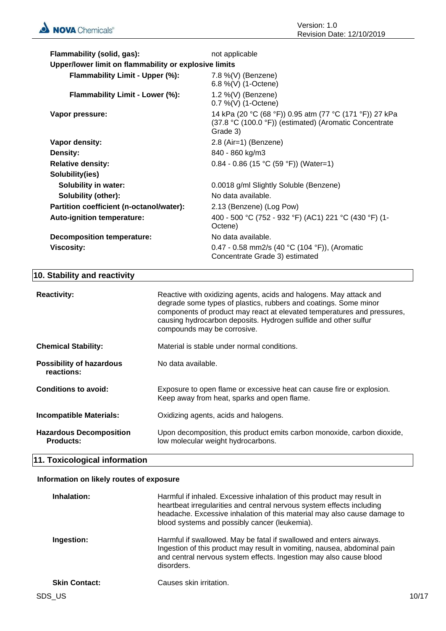| Flammability (solid, gas):                            | not applicable                                                                                                                |
|-------------------------------------------------------|-------------------------------------------------------------------------------------------------------------------------------|
| Upper/lower limit on flammability or explosive limits |                                                                                                                               |
| Flammability Limit - Upper (%):                       | 7.8 %(V) (Benzene)<br>6.8 %(V) (1-Octene)                                                                                     |
| Flammability Limit - Lower (%):                       | 1.2 %(V) (Benzene)<br>$0.7\%$ (V) (1-Octene)                                                                                  |
| Vapor pressure:                                       | 14 kPa (20 °C (68 °F)) 0.95 atm (77 °C (171 °F)) 27 kPa<br>(37.8 °C (100.0 °F)) (estimated) (Aromatic Concentrate<br>Grade 3) |
| Vapor density:                                        | 2.8 (Air=1) (Benzene)                                                                                                         |
| <b>Density:</b>                                       | 840 - 860 kg/m3                                                                                                               |
| <b>Relative density:</b>                              | $0.84 - 0.86$ (15 °C (59 °F)) (Water=1)                                                                                       |
| Solubility(ies)                                       |                                                                                                                               |
| <b>Solubility in water:</b>                           | 0.0018 g/ml Slightly Soluble (Benzene)                                                                                        |
| <b>Solubility (other):</b>                            | No data available.                                                                                                            |
| Partition coefficient (n-octanol/water):              | 2.13 (Benzene) (Log Pow)                                                                                                      |
| <b>Auto-ignition temperature:</b>                     | 400 - 500 °C (752 - 932 °F) (AC1) 221 °C (430 °F) (1-<br>Octene)                                                              |
| <b>Decomposition temperature:</b>                     | No data available.                                                                                                            |
| <b>Viscosity:</b>                                     | 0.47 - 0.58 mm2/s (40 °C (104 °F)), (Aromatic<br>Concentrate Grade 3) estimated                                               |

## **10. Stability and reactivity**

| <b>Reactivity:</b>                                 | Reactive with oxidizing agents, acids and halogens. May attack and<br>degrade some types of plastics, rubbers and coatings. Some minor<br>components of product may react at elevated temperatures and pressures,<br>causing hydrocarbon deposits. Hydrogen sulfide and other sulfur<br>compounds may be corrosive. |
|----------------------------------------------------|---------------------------------------------------------------------------------------------------------------------------------------------------------------------------------------------------------------------------------------------------------------------------------------------------------------------|
| <b>Chemical Stability:</b>                         | Material is stable under normal conditions.                                                                                                                                                                                                                                                                         |
| <b>Possibility of hazardous</b><br>reactions:      | No data available.                                                                                                                                                                                                                                                                                                  |
| Conditions to avoid:                               | Exposure to open flame or excessive heat can cause fire or explosion.<br>Keep away from heat, sparks and open flame.                                                                                                                                                                                                |
| <b>Incompatible Materials:</b>                     | Oxidizing agents, acids and halogens.                                                                                                                                                                                                                                                                               |
| <b>Hazardous Decomposition</b><br><b>Products:</b> | Upon decomposition, this product emits carbon monoxide, carbon dioxide,<br>low molecular weight hydrocarbons.                                                                                                                                                                                                       |

## **11. Toxicological information**

## **Information on likely routes of exposure**

| Inhalation:          | Harmful if inhaled. Excessive inhalation of this product may result in<br>heartbeat irregularities and central nervous system effects including<br>headache. Excessive inhalation of this material may also cause damage to<br>blood systems and possibly cancer (leukemia). |
|----------------------|------------------------------------------------------------------------------------------------------------------------------------------------------------------------------------------------------------------------------------------------------------------------------|
| Ingestion:           | Harmful if swallowed. May be fatal if swallowed and enters airways.<br>Ingestion of this product may result in vomiting, nausea, abdominal pain<br>and central nervous system effects. Ingestion may also cause blood<br>disorders.                                          |
| <b>Skin Contact:</b> | Causes skin irritation.                                                                                                                                                                                                                                                      |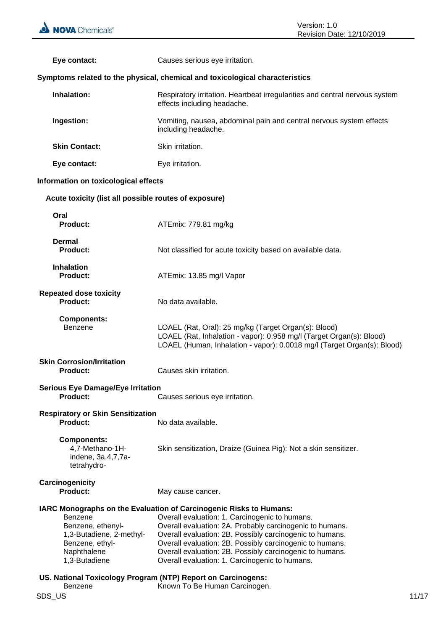| Eye contact:                                                                                                                                                                       | Causes serious eye irritation.                                                                                                                                                                                                                                                                                                                                                                                                |
|------------------------------------------------------------------------------------------------------------------------------------------------------------------------------------|-------------------------------------------------------------------------------------------------------------------------------------------------------------------------------------------------------------------------------------------------------------------------------------------------------------------------------------------------------------------------------------------------------------------------------|
|                                                                                                                                                                                    | Symptoms related to the physical, chemical and toxicological characteristics                                                                                                                                                                                                                                                                                                                                                  |
| Inhalation:                                                                                                                                                                        | Respiratory irritation. Heartbeat irregularities and central nervous system<br>effects including headache.                                                                                                                                                                                                                                                                                                                    |
| Ingestion:                                                                                                                                                                         | Vomiting, nausea, abdominal pain and central nervous system effects<br>including headache.                                                                                                                                                                                                                                                                                                                                    |
| <b>Skin Contact:</b>                                                                                                                                                               | Skin irritation.                                                                                                                                                                                                                                                                                                                                                                                                              |
| Eye contact:                                                                                                                                                                       | Eye irritation.                                                                                                                                                                                                                                                                                                                                                                                                               |
| Information on toxicological effects                                                                                                                                               |                                                                                                                                                                                                                                                                                                                                                                                                                               |
| Acute toxicity (list all possible routes of exposure)                                                                                                                              |                                                                                                                                                                                                                                                                                                                                                                                                                               |
| Oral<br><b>Product:</b>                                                                                                                                                            | ATEmix: 779.81 mg/kg                                                                                                                                                                                                                                                                                                                                                                                                          |
| <b>Dermal</b><br>Product:                                                                                                                                                          | Not classified for acute toxicity based on available data.                                                                                                                                                                                                                                                                                                                                                                    |
| <b>Inhalation</b><br>Product:                                                                                                                                                      | ATEmix: 13.85 mg/l Vapor                                                                                                                                                                                                                                                                                                                                                                                                      |
| <b>Repeated dose toxicity</b><br>Product:                                                                                                                                          | No data available.                                                                                                                                                                                                                                                                                                                                                                                                            |
| <b>Components:</b><br><b>Benzene</b>                                                                                                                                               | LOAEL (Rat, Oral): 25 mg/kg (Target Organ(s): Blood)<br>LOAEL (Rat, Inhalation - vapor): 0.958 mg/l (Target Organ(s): Blood)<br>LOAEL (Human, Inhalation - vapor): 0.0018 mg/l (Target Organ(s): Blood)                                                                                                                                                                                                                       |
| <b>Skin Corrosion/Irritation</b><br><b>Product:</b>                                                                                                                                | Causes skin irritation.                                                                                                                                                                                                                                                                                                                                                                                                       |
| <b>Serious Eye Damage/Eye Irritation</b><br><b>Product:</b>                                                                                                                        | Causes serious eye irritation.                                                                                                                                                                                                                                                                                                                                                                                                |
| <b>Respiratory or Skin Sensitization</b><br>Product:                                                                                                                               | No data available.                                                                                                                                                                                                                                                                                                                                                                                                            |
| <b>Components:</b><br>4,7-Methano-1H-<br>indene, 3a, 4, 7, 7a-<br>tetrahydro-                                                                                                      | Skin sensitization, Draize (Guinea Pig): Not a skin sensitizer.                                                                                                                                                                                                                                                                                                                                                               |
| Carcinogenicity<br><b>Product:</b>                                                                                                                                                 | May cause cancer.                                                                                                                                                                                                                                                                                                                                                                                                             |
| <b>Benzene</b><br>Benzene, ethenyl-<br>1,3-Butadiene, 2-methyl-<br>Benzene, ethyl-<br>Naphthalene<br>1,3-Butadiene<br>US. National Toxicology Program (NTP) Report on Carcinogens: | <b>IARC Monographs on the Evaluation of Carcinogenic Risks to Humans:</b><br>Overall evaluation: 1. Carcinogenic to humans.<br>Overall evaluation: 2A. Probably carcinogenic to humans.<br>Overall evaluation: 2B. Possibly carcinogenic to humans.<br>Overall evaluation: 2B. Possibly carcinogenic to humans.<br>Overall evaluation: 2B. Possibly carcinogenic to humans.<br>Overall evaluation: 1. Carcinogenic to humans. |
| <b>Benzene</b>                                                                                                                                                                     | Known To Be Human Carcinogen.                                                                                                                                                                                                                                                                                                                                                                                                 |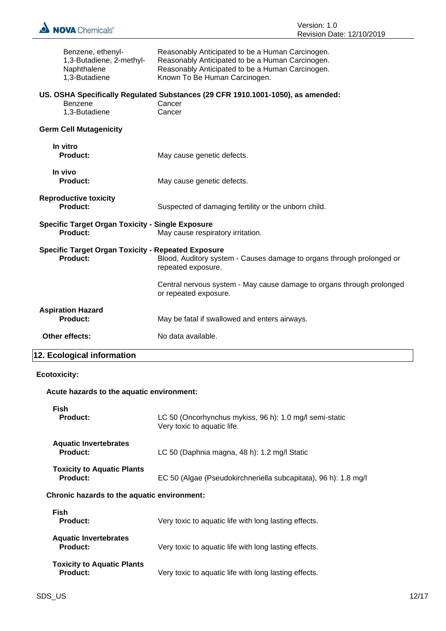

| Benzene, ethenyl-                                         | Reasonably Anticipated to be a Human Carcinogen.                                                     |
|-----------------------------------------------------------|------------------------------------------------------------------------------------------------------|
| 1,3-Butadiene, 2-methyl-<br>Naphthalene                   | Reasonably Anticipated to be a Human Carcinogen.<br>Reasonably Anticipated to be a Human Carcinogen. |
| 1,3-Butadiene                                             | Known To Be Human Carcinogen.                                                                        |
|                                                           |                                                                                                      |
| Benzene                                                   | US. OSHA Specifically Regulated Substances (29 CFR 1910.1001-1050), as amended:<br>Cancer            |
| 1,3-Butadiene                                             | Cancer                                                                                               |
|                                                           |                                                                                                      |
| <b>Germ Cell Mutagenicity</b>                             |                                                                                                      |
| In vitro                                                  |                                                                                                      |
| <b>Product:</b>                                           | May cause genetic defects.                                                                           |
| In vivo                                                   |                                                                                                      |
| <b>Product:</b>                                           | May cause genetic defects.                                                                           |
| <b>Reproductive toxicity</b>                              |                                                                                                      |
| Product:                                                  | Suspected of damaging fertility or the unborn child.                                                 |
| <b>Specific Target Organ Toxicity - Single Exposure</b>   |                                                                                                      |
| <b>Product:</b>                                           | May cause respiratory irritation.                                                                    |
| <b>Specific Target Organ Toxicity - Repeated Exposure</b> |                                                                                                      |
| <b>Product:</b>                                           | Blood, Auditory system - Causes damage to organs through prolonged or<br>repeated exposure.          |
|                                                           | Central nervous system - May cause damage to organs through prolonged<br>or repeated exposure.       |
| <b>Aspiration Hazard</b>                                  |                                                                                                      |
| <b>Product:</b>                                           | May be fatal if swallowed and enters airways.                                                        |
| Other effects:                                            | No data available.                                                                                   |
| 12. Ecological information                                |                                                                                                      |

## **Ecotoxicity:**

## **Acute hazards to the aquatic environment:**

| Fish<br><b>Product:</b>                              | LC 50 (Oncorhynchus mykiss, 96 h): 1.0 mg/l semi-static<br>Very toxic to aquatic life. |
|------------------------------------------------------|----------------------------------------------------------------------------------------|
| <b>Aquatic Invertebrates</b><br>Product:             | LC 50 (Daphnia magna, 48 h): 1.2 mg/l Static                                           |
| <b>Toxicity to Aquatic Plants</b><br><b>Product:</b> | EC 50 (Algae (Pseudokirchneriella subcapitata), 96 h): 1.8 mg/l                        |
| Chronic hazards to the aquatic environment:          |                                                                                        |
| <b>Fish</b><br><b>Product:</b>                       | Very toxic to aquatic life with long lasting effects.                                  |
| <b>Aquatic Invertebrates</b><br><b>Product:</b>      | Very toxic to aquatic life with long lasting effects.                                  |
| <b>Toxicity to Aquatic Plants</b><br><b>Product:</b> | Very toxic to aquatic life with long lasting effects.                                  |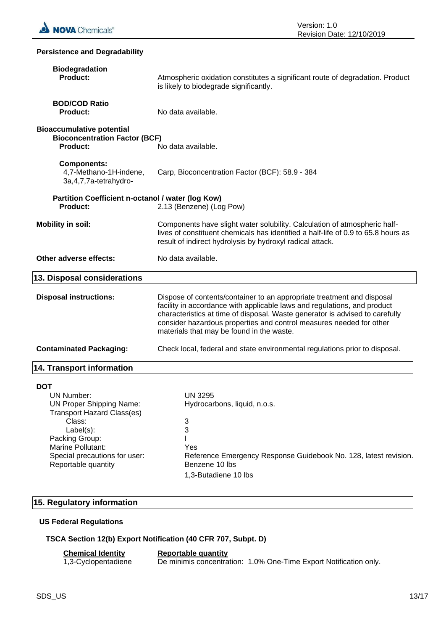

| <b>Persistence and Degradability</b>                                                                                                                                                                                   |                                                                                                                                                                                                                                                                                                                                                        |  |
|------------------------------------------------------------------------------------------------------------------------------------------------------------------------------------------------------------------------|--------------------------------------------------------------------------------------------------------------------------------------------------------------------------------------------------------------------------------------------------------------------------------------------------------------------------------------------------------|--|
| <b>Biodegradation</b><br>Product:                                                                                                                                                                                      | Atmospheric oxidation constitutes a significant route of degradation. Product<br>is likely to biodegrade significantly.                                                                                                                                                                                                                                |  |
| <b>BOD/COD Ratio</b><br><b>Product:</b>                                                                                                                                                                                | No data available.                                                                                                                                                                                                                                                                                                                                     |  |
| <b>Bioaccumulative potential</b><br><b>Bioconcentration Factor (BCF)</b><br><b>Product:</b>                                                                                                                            | No data available.                                                                                                                                                                                                                                                                                                                                     |  |
| <b>Components:</b><br>4,7-Methano-1H-indene,<br>3a, 4, 7, 7a-tetrahydro-                                                                                                                                               | Carp, Bioconcentration Factor (BCF): 58.9 - 384                                                                                                                                                                                                                                                                                                        |  |
| Partition Coefficient n-octanol / water (log Kow)<br><b>Product:</b>                                                                                                                                                   | 2.13 (Benzene) (Log Pow)                                                                                                                                                                                                                                                                                                                               |  |
| <b>Mobility in soil:</b>                                                                                                                                                                                               | Components have slight water solubility. Calculation of atmospheric half-<br>lives of constituent chemicals has identified a half-life of 0.9 to 65.8 hours as<br>result of indirect hydrolysis by hydroxyl radical attack.                                                                                                                            |  |
| Other adverse effects:                                                                                                                                                                                                 | No data available.                                                                                                                                                                                                                                                                                                                                     |  |
| 13. Disposal considerations                                                                                                                                                                                            |                                                                                                                                                                                                                                                                                                                                                        |  |
| <b>Disposal instructions:</b>                                                                                                                                                                                          | Dispose of contents/container to an appropriate treatment and disposal<br>facility in accordance with applicable laws and regulations, and product<br>characteristics at time of disposal. Waste generator is advised to carefully<br>consider hazardous properties and control measures needed for other<br>materials that may be found in the waste. |  |
| <b>Contaminated Packaging:</b>                                                                                                                                                                                         | Check local, federal and state environmental regulations prior to disposal.                                                                                                                                                                                                                                                                            |  |
| <b>14. Transport information</b>                                                                                                                                                                                       |                                                                                                                                                                                                                                                                                                                                                        |  |
| <b>DOT</b><br>UN Number:<br><b>UN Proper Shipping Name:</b><br><b>Transport Hazard Class(es)</b><br>Class:<br>Label(s):<br>Packing Group:<br>Marine Pollutant:<br>Special precautions for user:<br>Reportable quantity | <b>UN 3295</b><br>Hydrocarbons, liquid, n.o.s.<br>3<br>3<br>Yes<br>Reference Emergency Response Guidebook No. 128, latest revision.<br>Benzene 10 lbs<br>1,3-Butadiene 10 lbs                                                                                                                                                                          |  |

## **15. Regulatory information**

## **US Federal Regulations**

## **TSCA Section 12(b) Export Notification (40 CFR 707, Subpt. D)**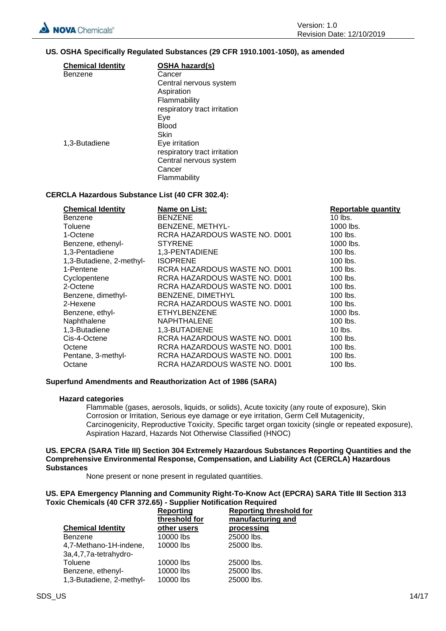## **US. OSHA Specifically Regulated Substances (29 CFR 1910.1001-1050), as amended**

| <b>Chemical Identity</b> | <b>OSHA hazard(s)</b>        |
|--------------------------|------------------------------|
| Benzene                  | Cancer                       |
|                          | Central nervous system       |
|                          | Aspiration                   |
|                          | Flammability                 |
|                          | respiratory tract irritation |
|                          | Eve                          |
|                          | Blood                        |
|                          | Skin                         |
| 1,3-Butadiene            | Eye irritation               |
|                          | respiratory tract irritation |
|                          | Central nervous system       |
|                          | Cancer                       |
|                          | Flammability                 |

## **CERCLA Hazardous Substance List (40 CFR 302.4):**

| <b>Chemical Identity</b> | Name on List:                 | <b>Reportable quantity</b> |
|--------------------------|-------------------------------|----------------------------|
| <b>Benzene</b>           | <b>BENZENE</b>                | $10$ lbs.                  |
| Toluene                  | BENZENE, METHYL-              | 1000 lbs.                  |
| 1-Octene                 | RCRA HAZARDOUS WASTE NO. D001 | 100 lbs.                   |
| Benzene, ethenyl-        | <b>STYRENE</b>                | 1000 lbs.                  |
| 1,3-Pentadiene           | 1,3-PENTADIENE                | $100$ lbs.                 |
| 1,3-Butadiene, 2-methyl- | <b>ISOPRENE</b>               | $100$ lbs.                 |
| 1-Pentene                | RCRA HAZARDOUS WASTE NO. D001 | 100 lbs.                   |
| Cyclopentene             | RCRA HAZARDOUS WASTE NO. D001 | 100 lbs.                   |
| 2-Octene                 | RCRA HAZARDOUS WASTE NO. D001 | 100 lbs.                   |
| Benzene, dimethyl-       | BENZENE, DIMETHYL             | 100 lbs.                   |
| 2-Hexene                 | RCRA HAZARDOUS WASTE NO. D001 | 100 lbs.                   |
| Benzene, ethyl-          | <b>ETHYLBENZENE</b>           | 1000 lbs.                  |
| Naphthalene              | <b>NAPHTHALENE</b>            | 100 lbs.                   |
| 1,3-Butadiene            | 1,3-BUTADIENE                 | $10$ lbs.                  |
| Cis-4-Octene             | RCRA HAZARDOUS WASTE NO. D001 | 100 lbs.                   |
| Octene                   | RCRA HAZARDOUS WASTE NO. D001 | 100 lbs.                   |
| Pentane, 3-methyl-       | RCRA HAZARDOUS WASTE NO. D001 | 100 lbs.                   |
| Octane                   | RCRA HAZARDOUS WASTE NO. D001 | 100 lbs.                   |

## **Superfund Amendments and Reauthorization Act of 1986 (SARA)**

## **Hazard categories**

Flammable (gases, aerosols, liquids, or solids), Acute toxicity (any route of exposure), Skin Corrosion or Irritation, Serious eye damage or eye irritation, Germ Cell Mutagenicity, Carcinogenicity, Reproductive Toxicity, Specific target organ toxicity (single or repeated exposure), Aspiration Hazard, Hazards Not Otherwise Classified (HNOC)

and

## **US. EPCRA (SARA Title III) Section 304 Extremely Hazardous Substances Reporting Quantities and the Comprehensive Environmental Response, Compensation, and Liability Act (CERCLA) Hazardous Substances**

None present or none present in regulated quantities.

#### **US. EPA Emergency Planning and Community Right-To-Know Act (EPCRA) SARA Title III Section 313 Toxic Chemicals (40 CFR 372.65) - Supplier Notification Required <u>shold f</u>or**

|                          | <b>Reporting</b><br>threshold for | <b>Reporting thre</b><br>manufacturing |
|--------------------------|-----------------------------------|----------------------------------------|
| <b>Chemical Identity</b> | other users                       | processing                             |
| Benzene                  | 10000 lbs                         | 25000 lbs.                             |
| 4,7-Methano-1H-indene,   | 10000 lbs                         | 25000 lbs.                             |
| 3a, 4, 7, 7a-tetrahydro- |                                   |                                        |
| Toluene                  | 10000 lbs                         | 25000 lbs.                             |
| Benzene, ethenyl-        | 10000 lbs                         | 25000 lbs.                             |
| 1,3-Butadiene, 2-methyl- | 10000 lbs                         | 25000 lbs.                             |
|                          |                                   |                                        |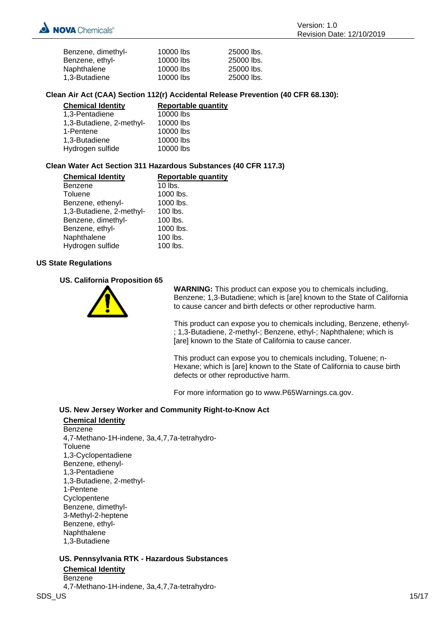| Benzene, dimethyl- | 10000 lbs | 25000 lbs. |
|--------------------|-----------|------------|
| Benzene, ethyl-    | 10000 lbs | 25000 lbs. |
| Naphthalene        | 10000 lbs | 25000 lbs. |
| 1.3-Butadiene      | 10000 lbs | 25000 lbs. |

## **Clean Air Act (CAA) Section 112(r) Accidental Release Prevention (40 CFR 68.130):**

| <b>Chemical Identity</b> | Reportable quantity |
|--------------------------|---------------------|
| 1,3-Pentadiene           | 10000 lbs           |
| 1,3-Butadiene, 2-methyl- | 10000 lbs           |
| 1-Pentene                | 10000 lbs           |
| 1,3-Butadiene            | 10000 lbs           |
| Hydrogen sulfide         | 10000 lbs           |

## **Clean Water Act Section 311 Hazardous Substances (40 CFR 117.3)**

| <b>Reportable quantity</b> |
|----------------------------|
| $10$ lbs.                  |
| 1000 lbs.                  |
| 1000 lbs.                  |
| 100 lbs.                   |
| 100 lbs.                   |
| 1000 lbs.                  |
| 100 lbs.                   |
| 100 lbs.                   |
|                            |

## **US State Regulations**

## **US. California Proposition 65**



**WARNING:** This product can expose you to chemicals including, Benzene; 1,3-Butadiene; which is [are] known to the State of California to cause cancer and birth defects or other reproductive harm.

This product can expose you to chemicals including, Benzene, ethenyl- ; 1,3-Butadiene, 2-methyl-; Benzene, ethyl-; Naphthalene; which is [are] known to the State of California to cause cancer.

This product can expose you to chemicals including, Toluene; n-Hexane; which is [are] known to the State of California to cause birth defects or other reproductive harm.

For more information go to www.P65Warnings.ca.gov.

## **US. New Jersey Worker and Community Right-to-Know Act**

**Chemical Identity** Benzene 4,7-Methano-1H-indene, 3a,4,7,7a-tetrahydro-**Toluene** 1,3-Cyclopentadiene Benzene, ethenyl-1,3-Pentadiene 1,3-Butadiene, 2-methyl-1-Pentene **Cyclopentene** Benzene, dimethyl-3-Methyl-2-heptene Benzene, ethyl-Naphthalene 1,3-Butadiene

## **US. Pennsylvania RTK - Hazardous Substances Chemical Identity** Benzene

4,7-Methano-1H-indene, 3a,4,7,7a-tetrahydro-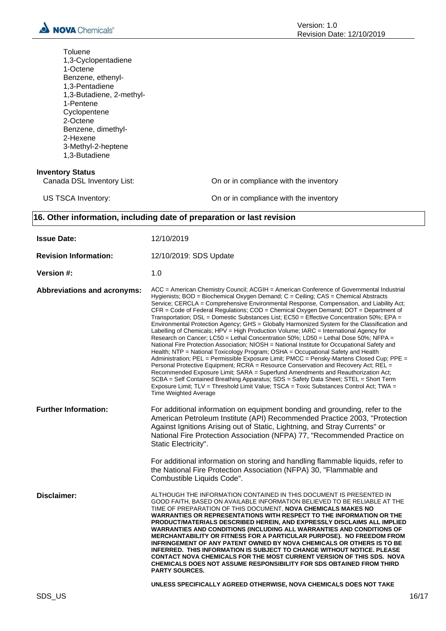

| Toluene<br>1,3-Cyclopentadiene<br>1-Octene<br>Benzene, ethenyl-<br>1,3-Pentadiene<br>1,3-Butadiene, 2-methyl-<br>1-Pentene<br>Cyclopentene<br>2-Octene<br>Benzene, dimethyl-<br>2-Hexene<br>3-Methyl-2-heptene<br>1,3-Butadiene |                                                                                                                                                                                                                                                                                                                                                                                                                                                                                                                                                                                                                                                                                                                                                                                                                                                                                                                                                                                                                                                                                                                                                                                                                                                                                                                                                                                                                                 |
|---------------------------------------------------------------------------------------------------------------------------------------------------------------------------------------------------------------------------------|---------------------------------------------------------------------------------------------------------------------------------------------------------------------------------------------------------------------------------------------------------------------------------------------------------------------------------------------------------------------------------------------------------------------------------------------------------------------------------------------------------------------------------------------------------------------------------------------------------------------------------------------------------------------------------------------------------------------------------------------------------------------------------------------------------------------------------------------------------------------------------------------------------------------------------------------------------------------------------------------------------------------------------------------------------------------------------------------------------------------------------------------------------------------------------------------------------------------------------------------------------------------------------------------------------------------------------------------------------------------------------------------------------------------------------|
| <b>Inventory Status</b><br>Canada DSL Inventory List:                                                                                                                                                                           | On or in compliance with the inventory                                                                                                                                                                                                                                                                                                                                                                                                                                                                                                                                                                                                                                                                                                                                                                                                                                                                                                                                                                                                                                                                                                                                                                                                                                                                                                                                                                                          |
| US TSCA Inventory:                                                                                                                                                                                                              | On or in compliance with the inventory                                                                                                                                                                                                                                                                                                                                                                                                                                                                                                                                                                                                                                                                                                                                                                                                                                                                                                                                                                                                                                                                                                                                                                                                                                                                                                                                                                                          |
|                                                                                                                                                                                                                                 | 16. Other information, including date of preparation or last revision                                                                                                                                                                                                                                                                                                                                                                                                                                                                                                                                                                                                                                                                                                                                                                                                                                                                                                                                                                                                                                                                                                                                                                                                                                                                                                                                                           |
| <b>Issue Date:</b>                                                                                                                                                                                                              | 12/10/2019                                                                                                                                                                                                                                                                                                                                                                                                                                                                                                                                                                                                                                                                                                                                                                                                                                                                                                                                                                                                                                                                                                                                                                                                                                                                                                                                                                                                                      |
| <b>Revision Information:</b>                                                                                                                                                                                                    | 12/10/2019: SDS Update                                                                                                                                                                                                                                                                                                                                                                                                                                                                                                                                                                                                                                                                                                                                                                                                                                                                                                                                                                                                                                                                                                                                                                                                                                                                                                                                                                                                          |
| Version #:                                                                                                                                                                                                                      | 1.0                                                                                                                                                                                                                                                                                                                                                                                                                                                                                                                                                                                                                                                                                                                                                                                                                                                                                                                                                                                                                                                                                                                                                                                                                                                                                                                                                                                                                             |
| <b>Abbreviations and acronyms:</b>                                                                                                                                                                                              | ACC = American Chemistry Council; ACGIH = American Conference of Governmental Industrial<br>Hygienists; BOD = Biochemical Oxygen Demand; C = Ceiling; CAS = Chemical Abstracts<br>Service; CERCLA = Comprehensive Environmental Response, Compensation, and Liability Act;<br>CFR = Code of Federal Regulations; COD = Chemical Oxygen Demand; DOT = Department of<br>Transportation; DSL = Domestic Substances List; EC50 = Effective Concentration 50%; EPA =<br>Environmental Protection Agency; GHS = Globally Harmonized System for the Classification and<br>Labelling of Chemicals; HPV = High Production Volume; IARC = International Agency for<br>Research on Cancer; LC50 = Lethal Concentration 50%; LD50 = Lethal Dose 50%; NFPA =<br>National Fire Protection Association: NIOSH = National Institute for Occupational Safety and<br>Health; NTP = National Toxicology Program; OSHA = Occupational Safety and Health<br>Administration; PEL = Permissible Exposure Limit; PMCC = Pensky-Martens Closed Cup; PPE =<br>Personal Protective Equipment; RCRA = Resource Conservation and Recovery Act; REL =<br>Recommended Exposure Limit; SARA = Superfund Amendments and Reauthorization Act;<br>SCBA = Self Contained Breathing Apparatus; SDS = Safety Data Sheet; STEL = Short Term<br>Exposure Limit; TLV = Threshold Limit Value; TSCA = Toxic Substances Control Act; TWA =<br><b>Time Weighted Average</b> |
| <b>Further Information:</b>                                                                                                                                                                                                     | For additional information on equipment bonding and grounding, refer to the<br>American Petroleum Institute (API) Recommended Practice 2003, "Protection<br>Against Ignitions Arising out of Static, Lightning, and Stray Currents" or<br>National Fire Protection Association (NFPA) 77, "Recommended Practice on<br>Static Electricity".                                                                                                                                                                                                                                                                                                                                                                                                                                                                                                                                                                                                                                                                                                                                                                                                                                                                                                                                                                                                                                                                                      |
|                                                                                                                                                                                                                                 | For additional information on storing and handling flammable liquids, refer to<br>the National Fire Protection Association (NFPA) 30, "Flammable and<br>Combustible Liquids Code".                                                                                                                                                                                                                                                                                                                                                                                                                                                                                                                                                                                                                                                                                                                                                                                                                                                                                                                                                                                                                                                                                                                                                                                                                                              |
| <b>Disclaimer:</b>                                                                                                                                                                                                              | ALTHOUGH THE INFORMATION CONTAINED IN THIS DOCUMENT IS PRESENTED IN<br>GOOD FAITH, BASED ON AVAILABLE INFORMATION BELIEVED TO BE RELIABLE AT THE<br>TIME OF PREPARATION OF THIS DOCUMENT, NOVA CHEMICALS MAKES NO<br><b>WARRANTIES OR REPRESENTATIONS WITH RESPECT TO THE INFORMATION OR THE</b><br>PRODUCT/MATERIALS DESCRIBED HEREIN, AND EXPRESSLY DISCLAIMS ALL IMPLIED<br><b>WARRANTIES AND CONDITIONS (INCLUDING ALL WARRANTIES AND CONDITIONS OF</b><br>MERCHANTABILITY OR FITNESS FOR A PARTICULAR PURPOSE). NO FREEDOM FROM<br>INFRINGEMENT OF ANY PATENT OWNED BY NOVA CHEMICALS OR OTHERS IS TO BE<br>INFERRED. THIS INFORMATION IS SUBJECT TO CHANGE WITHOUT NOTICE. PLEASE<br><b>CONTACT NOVA CHEMICALS FOR THE MOST CURRENT VERSION OF THIS SDS. NOVA</b><br>CHEMICALS DOES NOT ASSUME RESPONSIBILITY FOR SDS OBTAINED FROM THIRD<br><b>PARTY SOURCES.</b><br>UNLESS SPECIFICALLY AGREED OTHERWISE, NOVA CHEMICALS DOES NOT TAKE                                                                                                                                                                                                                                                                                                                                                                                                                                                                                  |